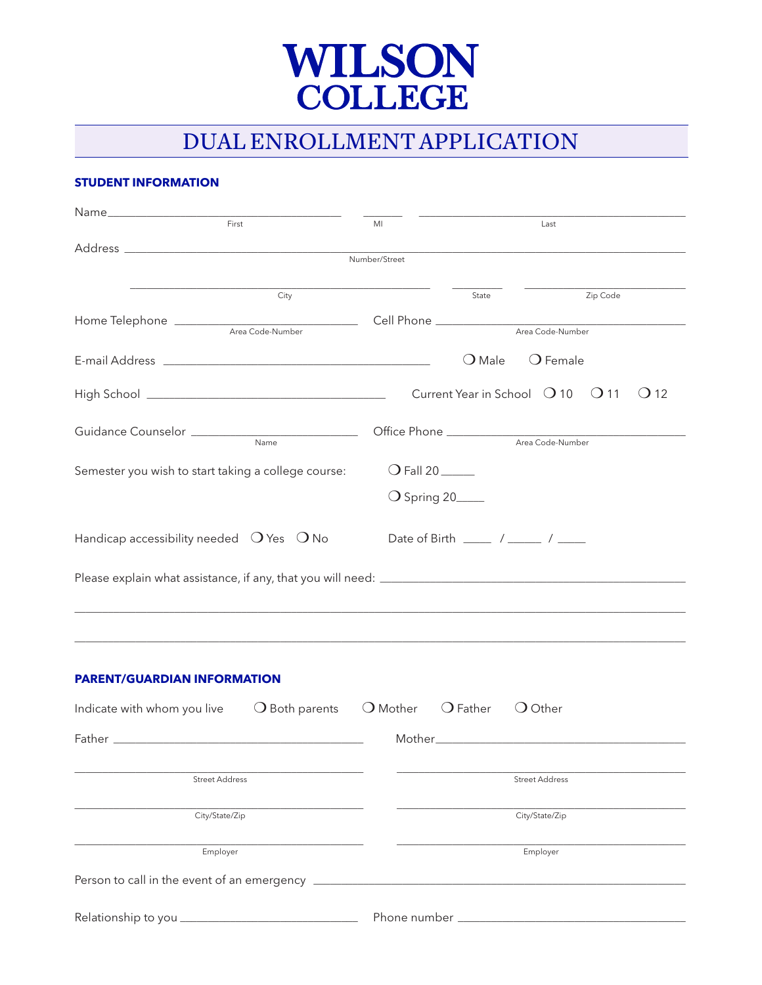

# DUAL ENROLLMENT APPLICATION

# **STUDENT INFORMATION**

| First                                                      | MI                   |                                                                                   | Last                  |        |
|------------------------------------------------------------|----------------------|-----------------------------------------------------------------------------------|-----------------------|--------|
|                                                            | Number/Street        |                                                                                   |                       |        |
|                                                            |                      |                                                                                   |                       |        |
| City                                                       |                      | State                                                                             | Zip Code              |        |
| Home Telephone Area Code-Number                            |                      |                                                                                   | Area Code-Number      |        |
|                                                            |                      |                                                                                   |                       |        |
|                                                            |                      | $\bigcirc$ Male                                                                   | $\bigcirc$ Female     |        |
|                                                            |                      | Current Year in School $\bigcirc$ 10 $\bigcirc$ 11                                |                       | $($ 12 |
|                                                            |                      |                                                                                   |                       |        |
|                                                            |                      |                                                                                   |                       |        |
| Semester you wish to start taking a college course:        | $O$ Fall 20          |                                                                                   |                       |        |
|                                                            | $\bigcirc$ Spring 20 |                                                                                   |                       |        |
| Handicap accessibility needed $\bigcirc$ Yes $\bigcirc$ No |                      | Date of Birth $\frac{1}{\sqrt{1-\frac{1}{2}}}$ / $\frac{1}{\sqrt{1-\frac{1}{2}}}$ |                       |        |
| <u> 1989 - John Stone, amerikansk politiker (d. 1989)</u>  |                      |                                                                                   |                       |        |
| <b>PARENT/GUARDIAN INFORMATION</b>                         |                      |                                                                                   |                       |        |
| $\bigcirc$ Both parents<br>Indicate with whom you live     | $\bigcirc$ Mother    | $\bigcirc$ Father                                                                 | $\bigcirc$ Other      |        |
|                                                            |                      |                                                                                   |                       |        |
|                                                            |                      |                                                                                   |                       |        |
| <b>Street Address</b>                                      |                      |                                                                                   | <b>Street Address</b> |        |
| City/State/Zip                                             |                      |                                                                                   | City/State/Zip        |        |
| Employer                                                   |                      |                                                                                   | Employer              |        |
|                                                            |                      |                                                                                   |                       |        |
|                                                            |                      |                                                                                   |                       |        |
|                                                            |                      |                                                                                   |                       |        |